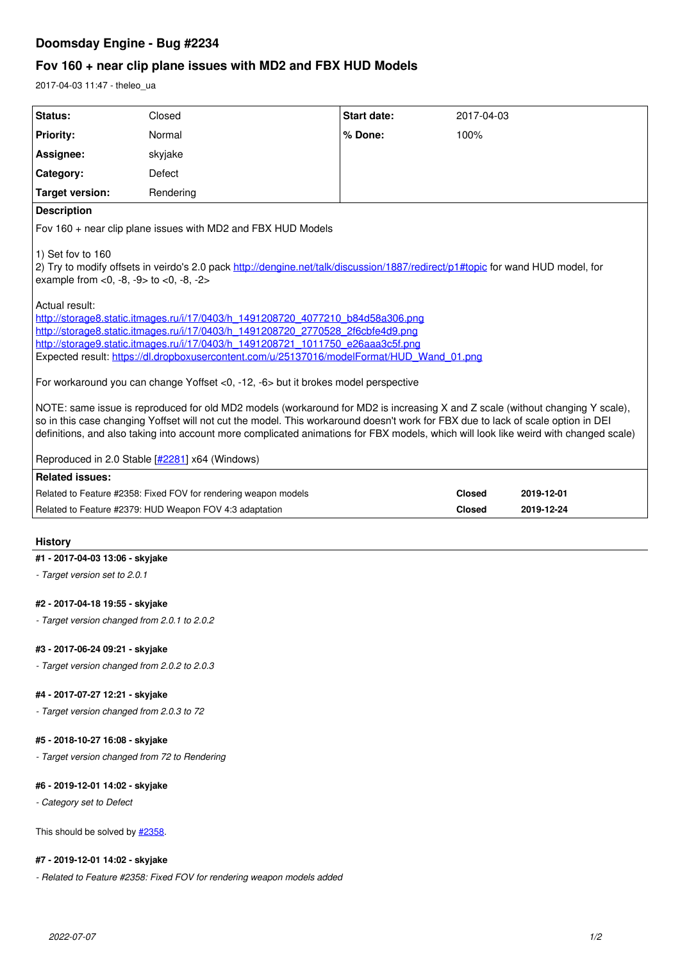# **Doomsday Engine - Bug #2234**

# **Fov 160 + near clip plane issues with MD2 and FBX HUD Models**

2017-04-03 11:47 - theleo\_ua

| Status:                                                                                                                                                                                                                                                                                                                                                                                                                                                     | Closed                                                          | Start date: | 2017-04-03    |            |
|-------------------------------------------------------------------------------------------------------------------------------------------------------------------------------------------------------------------------------------------------------------------------------------------------------------------------------------------------------------------------------------------------------------------------------------------------------------|-----------------------------------------------------------------|-------------|---------------|------------|
| <b>Priority:</b>                                                                                                                                                                                                                                                                                                                                                                                                                                            | Normal                                                          | % Done:     | 100%          |            |
| Assignee:                                                                                                                                                                                                                                                                                                                                                                                                                                                   | skyjake                                                         |             |               |            |
| Category:                                                                                                                                                                                                                                                                                                                                                                                                                                                   | Defect                                                          |             |               |            |
| <b>Target version:</b>                                                                                                                                                                                                                                                                                                                                                                                                                                      | Rendering                                                       |             |               |            |
| <b>Description</b>                                                                                                                                                                                                                                                                                                                                                                                                                                          |                                                                 |             |               |            |
| Fov 160 + near clip plane issues with MD2 and FBX HUD Models                                                                                                                                                                                                                                                                                                                                                                                                |                                                                 |             |               |            |
| 1) Set fov to 160<br>2) Try to modify offsets in veirdo's 2.0 pack http://dengine.net/talk/discussion/1887/redirect/p1#topic for wand HUD model, for<br>example from $<$ 0, $-8$ , $-9$ to $<$ 0, $-8$ , $-2$                                                                                                                                                                                                                                               |                                                                 |             |               |            |
| Actual result:<br>http://storage8.static.itmages.ru/i/17/0403/h 1491208720 4077210 b84d58a306.png<br>http://storage8.static.itmages.ru/i/17/0403/h 1491208720 2770528 2f6cbfe4d9.png<br>http://storage9.static.itmages.ru/i/17/0403/h_1491208721_1011750_e26aaa3c5f.png<br>Expected result: https://dl.dropboxusercontent.com/u/25137016/modelFormat/HUD Wand 01.png                                                                                        |                                                                 |             |               |            |
| For workaround you can change Yoffset <0, -12, -6 > but it brokes model perspective                                                                                                                                                                                                                                                                                                                                                                         |                                                                 |             |               |            |
| NOTE: same issue is reproduced for old MD2 models (workaround for MD2 is increasing X and Z scale (without changing Y scale),<br>so in this case changing Yoffset will not cut the model. This workaround doesn't work for FBX due to lack of scale option in DEI<br>definitions, and also taking into account more complicated animations for FBX models, which will look like weird with changed scale)<br>Reproduced in 2.0 Stable [#2281] x64 (Windows) |                                                                 |             |               |            |
| <b>Related issues:</b>                                                                                                                                                                                                                                                                                                                                                                                                                                      |                                                                 |             |               |            |
|                                                                                                                                                                                                                                                                                                                                                                                                                                                             | Related to Feature #2358: Fixed FOV for rendering weapon models |             | <b>Closed</b> | 2019-12-01 |
|                                                                                                                                                                                                                                                                                                                                                                                                                                                             | Related to Feature #2379: HUD Weapon FOV 4:3 adaptation         |             | <b>Closed</b> | 2019-12-24 |
|                                                                                                                                                                                                                                                                                                                                                                                                                                                             |                                                                 |             |               |            |

# **History**

## **#1 - 2017-04-03 13:06 - skyjake**

*- Target version set to 2.0.1*

# **#2 - 2017-04-18 19:55 - skyjake**

*- Target version changed from 2.0.1 to 2.0.2*

## **#3 - 2017-06-24 09:21 - skyjake**

*- Target version changed from 2.0.2 to 2.0.3*

# **#4 - 2017-07-27 12:21 - skyjake**

*- Target version changed from 2.0.3 to 72*

## **#5 - 2018-10-27 16:08 - skyjake**

*- Target version changed from 72 to Rendering*

# **#6 - 2019-12-01 14:02 - skyjake**

*- Category set to Defect*

This should be solved by  $\frac{#2358}{}$ .

## **#7 - 2019-12-01 14:02 - skyjake**

*- Related to Feature #2358: Fixed FOV for rendering weapon models added*